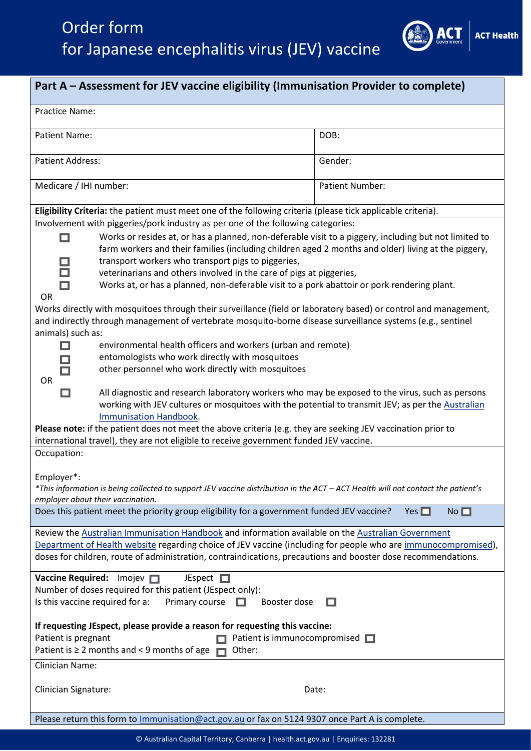# Order form for Japanese encephalitis virus (JEV) vaccine



| Part A - Assessment for JEV vaccine eligibility (Immunisation Provider to complete)                                                                                                                                                                                                                                                                                                                                                             |                        |
|-------------------------------------------------------------------------------------------------------------------------------------------------------------------------------------------------------------------------------------------------------------------------------------------------------------------------------------------------------------------------------------------------------------------------------------------------|------------------------|
| Practice Name:                                                                                                                                                                                                                                                                                                                                                                                                                                  |                        |
| <b>Patient Name:</b>                                                                                                                                                                                                                                                                                                                                                                                                                            | DOB:                   |
| <b>Patient Address:</b>                                                                                                                                                                                                                                                                                                                                                                                                                         | Gender:                |
| Medicare / IHI number:                                                                                                                                                                                                                                                                                                                                                                                                                          | <b>Patient Number:</b> |
| Eligibility Criteria: the patient must meet one of the following criteria (please tick applicable criteria).                                                                                                                                                                                                                                                                                                                                    |                        |
| Involvement with piggeries/pork industry as per one of the following categories:                                                                                                                                                                                                                                                                                                                                                                |                        |
| Works or resides at, or has a planned, non-deferable visit to a piggery, including but not limited to<br>farm workers and their families (including children aged 2 months and older) living at the piggery,                                                                                                                                                                                                                                    |                        |
| transport workers who transport pigs to piggeries,                                                                                                                                                                                                                                                                                                                                                                                              |                        |
| veterinarians and others involved in the care of pigs at piggeries,                                                                                                                                                                                                                                                                                                                                                                             |                        |
| Works at, or has a planned, non-deferable visit to a pork abattoir or pork rendering plant.<br><b>OR</b>                                                                                                                                                                                                                                                                                                                                        |                        |
| Works directly with mosquitoes through their surveillance (field or laboratory based) or control and management,                                                                                                                                                                                                                                                                                                                                |                        |
| and indirectly through management of vertebrate mosquito-borne disease surveillance systems (e.g., sentinel                                                                                                                                                                                                                                                                                                                                     |                        |
| animals) such as:                                                                                                                                                                                                                                                                                                                                                                                                                               |                        |
| environmental health officers and workers (urban and remote)                                                                                                                                                                                                                                                                                                                                                                                    |                        |
| entomologists who work directly with mosquitoes                                                                                                                                                                                                                                                                                                                                                                                                 |                        |
| other personnel who work directly with mosquitoes                                                                                                                                                                                                                                                                                                                                                                                               |                        |
| OR                                                                                                                                                                                                                                                                                                                                                                                                                                              |                        |
| All diagnostic and research laboratory workers who may be exposed to the virus, such as persons<br>working with JEV cultures or mosquitoes with the potential to transmit JEV; as per the Australian<br><b>Immunisation Handbook.</b><br>Please note: if the patient does not meet the above criteria (e.g. they are seeking JEV vaccination prior to<br>international travel), they are not eligible to receive government funded JEV vaccine. |                        |
|                                                                                                                                                                                                                                                                                                                                                                                                                                                 |                        |
| Occupation:                                                                                                                                                                                                                                                                                                                                                                                                                                     |                        |
| Employer*:<br>*This information is being collected to support JEV vaccine distribution in the ACT - ACT Health will not contact the patient's<br>employer about their vaccination.                                                                                                                                                                                                                                                              |                        |
| Does this patient meet the priority group eligibility for a government funded JEV vaccine?<br>No<br>Yes $\Box$                                                                                                                                                                                                                                                                                                                                  |                        |
| Review the Australian Immunisation Handbook and information available on the Australian Government<br>Department of Health website regarding choice of JEV vaccine (including for people who are immunocompromised),<br>doses for children, route of administration, contraindications, precautions and booster dose recommendations.                                                                                                           |                        |
| Vaccine Required: Imojev<br>JEspect $\square$                                                                                                                                                                                                                                                                                                                                                                                                   |                        |
| Number of doses required for this patient (JEspect only):                                                                                                                                                                                                                                                                                                                                                                                       |                        |
| Is this vaccine required for a:<br>Primary course<br>Booster dose<br>П                                                                                                                                                                                                                                                                                                                                                                          |                        |
| If requesting JEspect, please provide a reason for requesting this vaccine:                                                                                                                                                                                                                                                                                                                                                                     |                        |
| Patient is pregnant<br>Patient is immunocompromised $\Box$                                                                                                                                                                                                                                                                                                                                                                                      |                        |
| Patient is $\geq 2$ months and < 9 months of age<br>Other:                                                                                                                                                                                                                                                                                                                                                                                      |                        |
| <b>Clinician Name:</b>                                                                                                                                                                                                                                                                                                                                                                                                                          |                        |
|                                                                                                                                                                                                                                                                                                                                                                                                                                                 |                        |
| <b>Clinician Signature:</b><br>Date:                                                                                                                                                                                                                                                                                                                                                                                                            |                        |
| Please return this form to Immunisation@act.gov.au or fax on 5124 9307 once Part A is complete.                                                                                                                                                                                                                                                                                                                                                 |                        |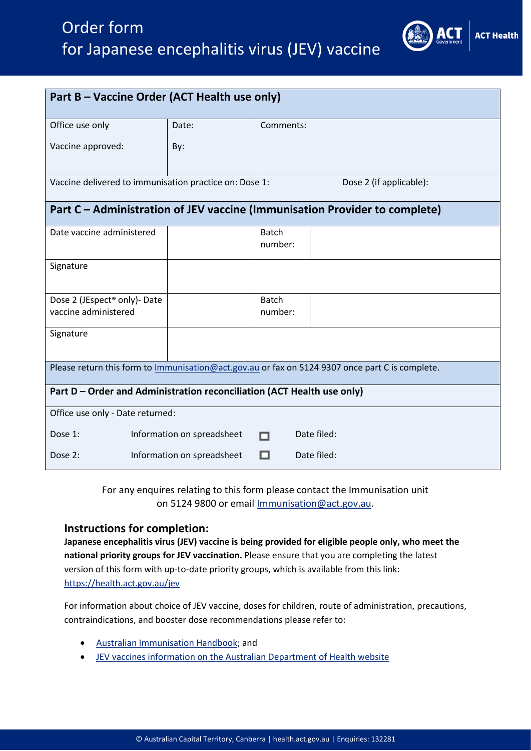## Order form for Japanese encephalitis virus (JEV) vaccine



**ACT Health** 

250

For any enquires relating to this form please contact the Immunisation unit on 5124 9800 or email [Immunisation@act.gov.au.](mailto:Immunisation@act.gov.au)

#### **Instructions for completion:**

**Japanese encephalitis virus (JEV) vaccine is being provided for eligible people only, who meet the national priority groups for JEV vaccination.** Please ensure that you are completing the latest version of this form with up-to-date priority groups, which is available from this link: <https://health.act.gov.au/jev>

For information about choice of JEV vaccine, doses for children, route of administration, precautions, contraindications, and booster dose recommendations please refer to:

- [Australian Immunisation Handbook;](https://immunisationhandbook.health.gov.au/vaccine-preventable-diseases/japanese-encephalitis) and
- [JEV vaccines information on the Australian Department of Health website](https://www.health.gov.au/health-alerts/japanese-encephalitis-virus-jev/vaccines)